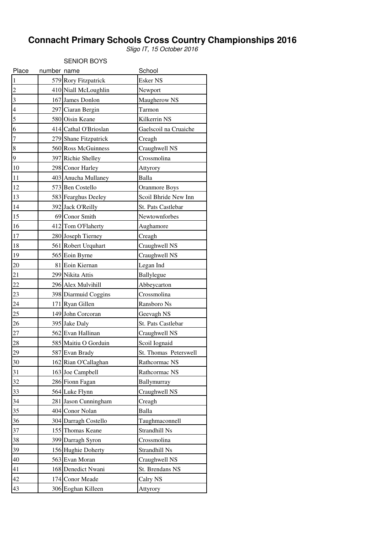# **Connacht Primary Schools Cross Country Championships 2016**

Sligo IT, 15 October 2016

|                          |             | <b>SENIOR BOYS</b>    |                       |
|--------------------------|-------------|-----------------------|-----------------------|
| Place                    | number name |                       | School                |
| $\overline{1}$           |             | 579 Rory Fitzpatrick  | <b>Esker NS</b>       |
| $\overline{2}$           |             | 410 Niall McLoughlin  | Newport               |
| $\overline{\mathbf{3}}$  |             | 167 James Donlon      | Maugherow NS          |
| $\overline{\mathcal{L}}$ |             | 297 Ciaran Bergin     | Tarmon                |
| $\overline{5}$           |             | 580 Oisin Keane       | Kilkerrin NS          |
| $\overline{6}$           |             | 414 Cathal O'Brioslan | Gaelscoil na Cruaiche |
| $\overline{7}$           |             | 279 Shane Fitzpatrick | Creagh                |
| 8                        |             | 560 Ross McGuinness   | Craughwell NS         |
| $\overline{9}$           |             | 397 Richie Shelley    | Crossmolina           |
| 10                       |             | 298 Conor Harley      | Attyrory              |
| 11                       |             | 403 Anucha Mullaney   | Balla                 |
| 12                       |             | 573 Ben Costello      | <b>Oranmore Boys</b>  |
| 13                       |             | 583 Fearghus Deeley   | Scoil Bhride New Inn  |
| 14                       |             | 392 Jack O'Reilly     | St. Pats Castlebar    |
| 15                       |             | 69 Conor Smith        | Newtownforbes         |
| 16                       |             | 412 Tom O'Flaherty    | Aughamore             |
| 17                       |             | 280 Joseph Tierney    | Creagh                |
| 18                       |             | 561 Robert Urquhart   | Craughwell NS         |
| 19                       |             | 565 Eoin Byrne        | Craughwell NS         |
| 20                       |             | 81 Eoin Kiernan       | Legan Ind             |
| 21                       |             | 299 Nikita Attis      | Ballylegue            |
| 22                       |             | 296 Alex Mulvihill    | Abbeycarton           |
| 23                       |             | 398 Diarmuid Coggins  | Crossmolina           |
| 24                       |             | 171 Ryan Gillen       | Ransboro Ns           |
| 25                       |             | 149 John Corcoran     | Geevagh NS            |
| 26                       |             | 395 Jake Daly         | St. Pats Castlebar    |
| 27                       |             | 562 Evan Hallinan     | Craughwell NS         |
| 28                       |             | 585 Maitiu O Gorduin  | Scoil Iognaid         |
| 29                       |             | 587 Evan Brady        | St. Thomas Peterswell |
| 30                       |             | 162 Rian O'Callaghan  | Rathcormac NS         |
| 31                       |             | 163 Joe Campbell      | Rathcormac NS         |
| 32                       |             | 286 Fionn Fagan       | Ballymurray           |
| 33                       |             | 564 Luke Flynn        | Craughwell NS         |
| 34                       |             | 281 Jason Cunningham  | Creagh                |
| 35                       |             | 404 Conor Nolan       | Balla                 |
| 36                       |             | 304 Darragh Costello  | Taughmaconnell        |
| 37                       |             | 155 Thomas Keane      | Strandhill Ns         |
| 38                       |             | 399 Darragh Syron     | Crossmolina           |
| 39                       |             | 156 Hughie Doherty    | Strandhill Ns         |
| 40                       |             | 563 Evan Moran        | Craughwell NS         |
| 41                       |             | 168 Denedict Nwani    | St. Brendans NS       |
| 42                       |             | 174 Conor Meade       | Calry NS              |
| 43                       |             | 306 Eoghan Killeen    | Attyrory              |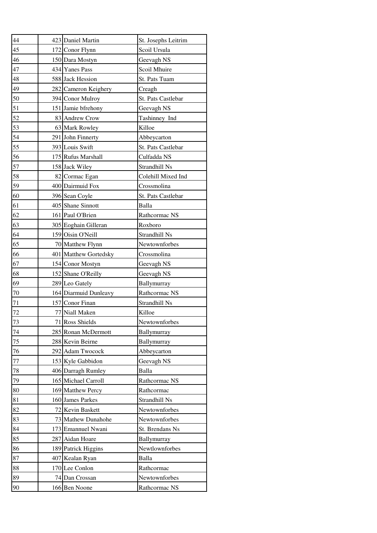| 44 |     | 423 Daniel Martin     | St. Josephs Leitrim |
|----|-----|-----------------------|---------------------|
| 45 |     | 172 Conor Flynn       | Scoil Ursula        |
| 46 |     | 150 Dara Mostyn       | Geevagh NS          |
| 47 |     | 434 Yanes Pass        | Scoil Mhuire        |
| 48 |     | 588 Jack Hession      | St. Pats Tuam       |
| 49 |     | 282 Cameron Keighery  | Creagh              |
| 50 |     | 394 Conor Mulroy      | St. Pats Castlebar  |
| 51 |     | 151 Jamie bfrehony    | Geevagh NS          |
| 52 |     | 83 Andrew Crow        | Tashinney Ind       |
| 53 |     | 63 Mark Rowley        | Killoe              |
| 54 |     | 291 John Finnerty     | Abbeycarton         |
| 55 |     | 393 Louis Swift       | St. Pats Castlebar  |
| 56 |     | 175 Rufus Marshall    | Culfadda NS         |
| 57 |     | 158 Jack Wiley        | Strandhill Ns       |
| 58 |     | 82 Cormac Egan        | Colehill Mixed Ind  |
| 59 |     | 400 Dairmuid Fox      | Crossmolina         |
| 60 |     | 396 Sean Coyle        | St. Pats Castlebar  |
| 61 |     | 405 Shane Sinnott     | Balla               |
| 62 |     | 161 Paul O'Brien      | Rathcormac NS       |
| 63 |     | 305 Eoghain Gilleran  | Roxboro             |
| 64 |     | 159 Oisin O'Neill     | Strandhill Ns       |
| 65 |     | 70 Matthew Flynn      | Newtownforbes       |
| 66 |     | 401 Matthew Gortedsky | Crossmolina         |
| 67 |     | 154 Conor Mostyn      | Geevagh NS          |
| 68 |     | 152 Shane O'Reilly    | Geevagh NS          |
| 69 |     | 289 Leo Gately        | Ballymurray         |
| 70 |     | 164 Diarmuid Dunleavy | Rathcormac NS       |
| 71 |     | 157 Conor Finan       | Strandhill Ns       |
| 72 |     | 77 Niall Maken        | Killoe              |
| 73 |     | 71 Ross Shields       | Newtownforbes       |
| 74 |     | 285 Ronan McDermott   | Ballymurray         |
| 75 |     | 288 Kevin Beirne      | Ballymurray         |
| 76 |     | 292 Adam Twocock      | Abbeycarton         |
| 77 |     | 153 Kyle Gabbidon     | Geevagh NS          |
| 78 |     | 406 Darragh Rumley    | Balla               |
| 79 |     | 165 Michael Carroll   | Rathcormac NS       |
| 80 |     | 169 Matthew Percy     | Rathcormac          |
| 81 |     | 160 James Parkes      | Strandhill Ns       |
| 82 |     | 72 Kevin Baskett      | Newtownforbes       |
| 83 |     | 73 Mathew Dunahohe    | Newtownforbes       |
| 84 |     | 173 Emannuel Nwani    | St. Brendans Ns     |
| 85 | 287 | Aidan Hoare           | Ballymurray         |
| 86 |     | 189 Patrick Higgins   | Newtlownforbes      |
| 87 |     | 407 Kealan Ryan       | Balla               |
| 88 |     | 170 Lee Conlon        | Rathcormac          |
| 89 |     | 74 Dan Crossan        | Newtownforbes       |
| 90 |     | 166 Ben Noone         | Rathcormac NS       |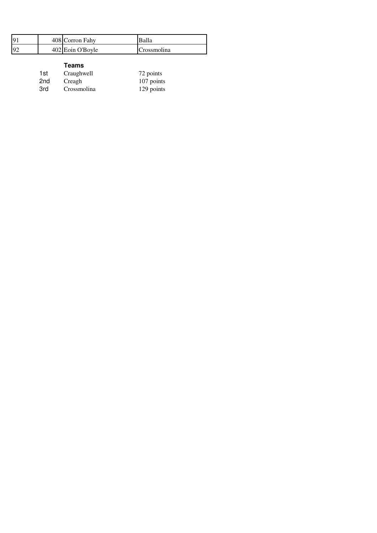| Q   | 408 Corron Fahy  | Balla       |
|-----|------------------|-------------|
| .or | 402 Eoin O'Boyle | Crossmolina |

| 1st | Craughwell  | 72 points  |
|-----|-------------|------------|
| 2nd | Creagh      | 107 points |
| 3rd | Crossmolina | 129 points |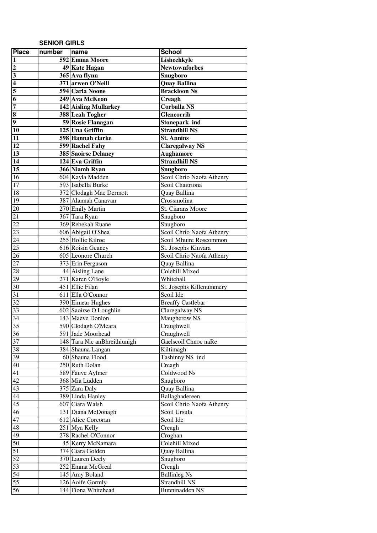### **SENIOR GIRLS**

| <b>Place</b>            | number | name                         | <b>School</b>             |
|-------------------------|--------|------------------------------|---------------------------|
| $\mathbf{1}$            |        | 592 Emma Moore               | Lisheehkyle               |
|                         |        | 49 Kate Hagan                | <b>Newtownforbes</b>      |
| $\frac{2}{3}$           |        | 365 Ava flynn                | Snugboro                  |
| $\overline{\mathbf{4}}$ |        | 371 arwen O'Neill            | <b>Quay Ballina</b>       |
| 5                       |        | <b>594 Carla Noone</b>       | <b>Brackloon Ns</b>       |
| $\overline{6}$          |        | 249 Ava McKeon               | Creagh                    |
| 7                       |        | <b>142 Aisling Mullarkey</b> | <b>Corballa NS</b>        |
| $\overline{\bf 8}$      |        | <b>388</b> Leah Togher       | Glencorrib                |
| 9                       |        | 59 Rosie Flanagan            | Stonepark ind             |
| 10                      |        | 125 Una Griffin              | <b>Strandhill NS</b>      |
| 11                      |        | 598 Hannah clarke            | <b>St. Annins</b>         |
| $\overline{12}$         |        | 599 Rachel Fahy              | <b>Claregalway NS</b>     |
| $\overline{13}$         |        | 385 Saoirse Delaney          | <b>Aughamore</b>          |
| $\overline{14}$         |        | 124 Eva Griffin              | <b>Strandhill NS</b>      |
| $\overline{15}$         |        | 366 Niamh Ryan               | Snugboro                  |
| $\overline{16}$         |        | 604 Kayla Madden             | Scoil Chrio Naofa Athenry |
| $17\,$                  |        | 593 Isabella Burke           | Scoil Chaitriona          |
| 18                      |        | 372 Clodagh Mac Dermott      | Quay Ballina              |
| 19                      |        | 387 Alannah Canavan          | Crossmolina               |
| $\overline{20}$         |        | 270 Emily Martin             | St. Ciarans Moore         |
| 21                      |        | 367 Tara Ryan                | Snugboro                  |
| $\overline{22}$         |        | 369 Rebekah Ruane            | Snugboro                  |
| $\overline{23}$         |        | 606 Abigail O'Shea           | Scoil Chrio Naofa Athenry |
| 24                      |        | 255 Hollie Kilroe            | Scoil Mhuire Roscommon    |
| $\overline{25}$         |        | 616 Roisin Geaney            | St. Josephs Kinvara       |
| $\overline{26}$         |        | 605 Leonore Church           | Scoil Chrio Naofa Athenry |
| $\overline{27}$         |        | 373 Erin Ferguson            | Quay Ballina              |
| $\overline{28}$         |        | 44 Aisling Lane              | <b>Colehill Mixed</b>     |
| $\overline{29}$         |        | 271 Karen O'Boyle            | Whitehall                 |
| $\overline{30}$         |        | 451 Ellie Filan              | St. Josephs Killenummery  |
| 31                      |        | 611 Ella O'Connor            | Scoil Ide                 |
| 32                      |        | 390 Eimear Hughes            | <b>Breaffy Castlebar</b>  |
| 33                      |        | 602 Saoirse O Loughlin       | Claregalway NS            |
| 34                      |        | 143 Maeve Donlon             | Maugherow NS              |
| 35                      |        | 590 Clodagh O'Meara          | Craughwell                |
| 36                      |        | 591 Jade Moorhead            | Craughwell                |
| 37                      |        | 148 Tara Nic anBhreithiunigh | Gaelscoil Chnoc naRe      |
| 38                      |        | 384 Shauna Langan            | Kiltimagh                 |
| 39                      |        | 60 Shauna Flood              | Tashinny NS ind           |
| $\overline{40}$         |        | 250 Ruth Dolan               | Creagh                    |
| 41                      |        | 589 Fauve Aylmer             | Coldwood Ns               |
| 42                      |        | 368 Mia Ludden               | Snugboro                  |
| 43                      |        | 375 Zara Daly                | Quay Ballina              |
| 44                      |        | 389 Linda Hanley             | Ballaghadereen            |
| $\overline{45}$         |        | 607 Ciara Walsh              | Scoil Chrio Naofa Athenry |
| $\overline{46}$         |        | 131 Diana McDonagh           | Scoil Ursula              |
| 47                      |        | 612 Alice Corcoran           | Scoil Ide                 |
| 48                      |        | 251 Mya Kelly                | Creagh                    |
| 49                      |        | 278 Rachel O'Connor          | Croghan                   |
| 50                      |        | 45 Kerry McNamara            | Colehill Mixed            |
| 51                      |        | 374 Ciara Golden             | Quay Ballina              |
| 52                      |        | 370 Lauren Deely             | Snugboro                  |
| 53                      |        | 252 Emma McGreal             | Creagh                    |
| 54                      |        | 145 Amy Boland               | <b>Ballinleg Ns</b>       |
| $\overline{55}$         |        | 126 Aoife Gormly             | Strandhill NS             |
| 56                      |        | 144 Fiona Whitehead          | <b>Bunninadden NS</b>     |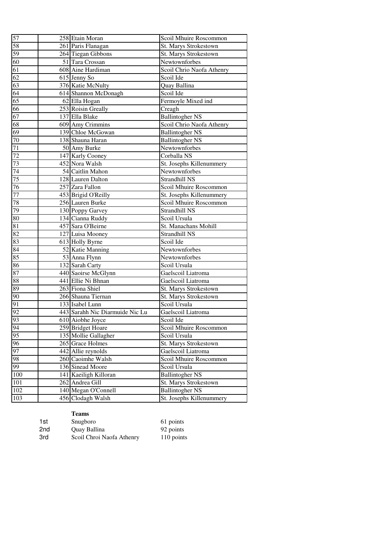| 57              | 258 Etain Moran                 | Scoil Mhuire Roscommon    |
|-----------------|---------------------------------|---------------------------|
| 58              | 261 Paris Flanagan              | St. Marys Strokestown     |
| 59              | 264 Tiegan Gibbons              | St. Marys Strokestown     |
| 60              | 51 Tara Crossan                 | Newtownforbes             |
| 61              | 608 Aine Hardiman               | Scoil Chrio Naofa Athenry |
| 62              | 615 Jenny So                    | Scoil Ide                 |
| $\overline{63}$ | 376 Katie McNulty               | Quay Ballina              |
| $\overline{64}$ | 614 Shannon McDonagh            | Scoil Ide                 |
| $\overline{65}$ | 62 Ella Hogan                   | Fermoyle Mixed ind        |
| 66              | 253 Roisin Greally              | Creagh                    |
| $\overline{67}$ | 137 Ella Blake                  | <b>Ballintogher NS</b>    |
| 68              | 609 Amy Crimmins                | Scoil Chrio Naofa Athenry |
| 69              | 139 Chloe McGowan               | <b>Ballintogher NS</b>    |
| $70\,$          | 138 Shauna Haran                | <b>Ballintogher NS</b>    |
| $71\,$          | 50 Amy Burke                    | Newtownforbes             |
| 72              | 147 Karly Cooney                | Corballa NS               |
| 73              | 452 Nora Walsh                  | St. Josephs Killenummery  |
| 74              | 54 Caitlin Mahon                | Newtownforbes             |
| 75              | 128 Lauren Dalton               | Strandhill NS             |
| 76              | 257 Zara Fallon                 | Scoil Mhuire Roscommon    |
| $\overline{77}$ | 453 Brigid O'Reilly             | St. Josephs Killenummery  |
| 78              | 256 Lauren Burke                | Scoil Mhuire Roscommon    |
| 79              | 130 Poppy Garvey                | Strandhill NS             |
| 80              | 134 Cianna Ruddy                | Scoil Ursula              |
| 81              | 457 Sara O'Beirne               | St. Manachans Mohill      |
| 82              | 127 Luisa Mooney                | Strandhill NS             |
| 83              | 613 Holly Byrne                 | Scoil Ide                 |
| 84              | 52 Katie Manning                | Newtownforbes             |
| 85              | 53 Anna Flynn                   | Newtownforbes             |
| 86              | 132 Sarah Carty                 | Scoil Ursula              |
| 87              | 440 Saoirse McGlynn             | Gaelscoil Liatroma        |
| 88              | 441 Ellie Ni Bhnan              | Gaelscoil Liatroma        |
| 89              | 263 Fiona Shiel                 | St. Marys Strokestown     |
| 90              | 266 Shauna Tiernan              | St. Marys Strokestown     |
| 91              | 133 Isabel Lunn                 | Scoil Ursula              |
| 92              | 443 Sarahh Nic Diarmuide Nic Lu | Gaelscoil Liatroma        |
| 93              | 610 Aiobhe Joyce                | Scoil Ide                 |
| 94              | 259 Bridget Hoare               | Scoil Mhuire Roscommon    |
| 95              | 135 Mollie Gallagher            | Scoil Ursula              |
| 96              | 265 Grace Holmes                | St. Marys Strokestown     |
| 97              | 442 Allie reynolds              | Gaelscoil Liatroma        |
| 98              | 260 Caoimhe Walsh               | Scoil Mhuire Roscommon    |
| 99              | 136 Sinead Moore                | Scoil Ursula              |
| 100             | 141 Kaeiligh Killoran           | <b>Ballintogher NS</b>    |
| 101             | 262 Andrea Gill                 | St. Marys Strokestown     |
| 102             | 140 Megan O'Connell             | <b>Ballintogher NS</b>    |
| 103             | 456 Clodagh Walsh               | St. Josephs Killenummery  |

| 1st | Snugboro                  | 61 points  |
|-----|---------------------------|------------|
| 2nd | Quay Ballina              | 92 points  |
| 3rd | Scoil Chroi Naofa Athenry | 110 points |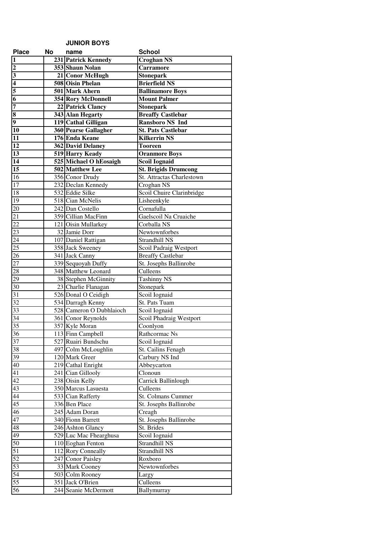|                         |    | <b>JUNIOR BOYS</b>                  |                             |
|-------------------------|----|-------------------------------------|-----------------------------|
| <b>Place</b>            | No | name                                | <b>School</b>               |
| $\overline{\mathbf{1}}$ |    | 231 Patrick Kennedy                 | <b>Croghan NS</b>           |
| $\overline{\mathbf{c}}$ |    | 353 Shaun Nolan                     | <b>Carramore</b>            |
| $\overline{\mathbf{3}}$ |    | 21 Conor McHugh                     | Stonepark                   |
| $\overline{\mathbf{4}}$ |    | <b>508 Oisin Phelan</b>             | <b>Brierfield NS</b>        |
| 5                       |    | 501 Mark Ahern                      | <b>Ballinamore Boys</b>     |
| $\overline{6}$          |    | 354 Rory McDonnell                  | <b>Mount Palmer</b>         |
| 7                       |    | 22 Patrick Clancy                   | <b>Stonepark</b>            |
| $\overline{\bf 8}$      |    | 343 Alan Hegarty                    | <b>Breaffy Castlebar</b>    |
| $\overline{9}$          |    | 119 Cathal Gilligan                 | <b>Ransboro NS Ind</b>      |
| $\overline{10}$         |    | 360 Pearse Gallagher                | <b>St. Pats Castlebar</b>   |
| 11                      |    | 176 Enda Keane                      | <b>Kilkerrin NS</b>         |
| 12                      |    | 362 David Delaney                   | <b>Tooreen</b>              |
| 13                      |    | 519 Harry Keady                     | <b>Oranmore Boys</b>        |
| 14                      |    | 525 Michael O hEosaigh              | <b>Scoil Iognaid</b>        |
| $\overline{15}$         |    | 502 Matthew Lee                     | <b>St. Brigids Drumcong</b> |
| 16                      |    | 356 Conor Drudy                     | St. Attractas Charlestown   |
| 17                      |    | 232 Declan Kennedy                  | Croghan NS                  |
| 18                      |    | 532 Eddie Silke                     | Scoil Chuire Clarinbridge   |
| 19                      |    | 518 Cian McNelis                    | Lisheenkyle                 |
| 20                      |    | 242 Dan Costello                    | Cornafulla                  |
| 21                      |    | 359 Cillian MacFinn                 | Gaelscoil Na Cruaiche       |
| 22                      |    | 121 Oisin Mullarkey                 | Corballa NS                 |
| 23                      |    | 32 Jamie Dorr                       | Newtownforbes               |
| 24                      |    | 107 Daniel Rattigan                 | Strandhill NS               |
| 25                      |    | 358 Jack Sweeney                    | Scoil Padraig Westport      |
| 26                      |    | 341 Jack Canny                      | <b>Breaffy Castlebar</b>    |
| 27                      |    | 339 Sequoyah Duffy                  | St. Josephs Ballinrobe      |
| 28                      |    | 348 Matthew Leonard                 | Culleens                    |
| 29                      |    | 38 Stephen McGinnity                | <b>Tashinny NS</b>          |
| 30                      |    | 23 Charlie Flanagan                 | Stonepark                   |
| $\overline{31}$         |    | 526 Donal O Ceidigh                 | Scoil Iognaid               |
| 32                      |    | 534 Darragh Kenny                   | St. Pats Tuam               |
| 33                      |    | 528 Cameron O Dubhlaioch            | Scoil Iognaid               |
| 34<br>35                |    | 361 Conor Reynolds                  | Scoil Phadraig Westport     |
| $\overline{36}$         |    | 357 Kyle Moran<br>113 Finn Campbell | Coonlyon<br>Rathcormac Ns   |
| $\overline{37}$         |    | 527 Ruairi Bundschu                 | Scoil Iognaid               |
| 38                      |    | 497 Colm McLoughlin                 | St. Cailins Fenagh          |
| 39                      |    | 120 Mark Greer                      | Carbury NS Ind              |
| 40                      |    | 219 Cathal Enright                  | Abbeycarton                 |
| 41                      |    | 241 Cian Gillooly                   | Clonoun                     |
| 42                      |    | 238 Oisin Kelly                     | Carrick Ballinlough         |
| 43                      |    | 350 Marcus Lasuesta                 | Culleens                    |
| 44                      |    | 533 Cian Rafferty                   | St. Colmans Cummer          |
| 45                      |    | 336 Ben Place                       | St. Josephs Ballinrobe      |
| 46                      |    | 245 Adam Doran                      | Creagh                      |
| 47                      |    | 340 Fionn Barrett                   | St. Josephs Ballinrobe      |
| 48                      |    | 246 Ashton Glancy                   | St. Brides                  |
| 49                      |    | 529 Luc Mac Fhearghusa              | Scoil Iognaid               |
| 50                      |    | 110 Eoghan Fenton                   | Strandhill NS               |
| $\overline{51}$         |    | 112 Rory Conneally                  | Strandhill NS               |
| $\overline{52}$         |    | 247 Conor Paisley                   | Roxboro                     |
| 53                      |    | 33 Mark Cooney                      | Newtownforbes               |
| 54                      |    | 503 Colm Rooney                     | Largy                       |
| 55                      |    | 351 Jack O'Brien                    | Culleens                    |
| 56                      |    | 244 Seanie McDermott                | Ballymurray                 |
|                         |    |                                     |                             |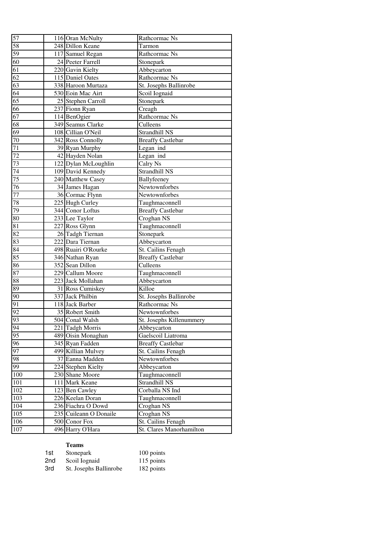| 57              | 116 Oran McNulty       | Rathcormac Ns            |
|-----------------|------------------------|--------------------------|
| 58              | 248 Dillon Keane       | Tarmon                   |
| 59              | 117 Samuel Regan       | Rathcormac Ns            |
| 60              | 24 Peeter Farrell      | Stonepark                |
| $\overline{61}$ | 220 Gavin Kielty       | Abbeycarton              |
| $\overline{62}$ | 115 Daniel Oates       | Rathcormac Ns            |
| $\overline{63}$ | 338 Haroon Murtaza     | St. Josephs Ballinrobe   |
| 64              | 530 Eoin Mac Airt      | Scoil Iognaid            |
| 65              | 25 Stephen Carroll     | Stonepark                |
| 66              | 237 Fionn Ryan         | Creagh                   |
| 67              | 114 BenOgier           | Rathcormac Ns            |
| 68              | 349 Seamus Clarke      | Culleens                 |
| 69              | 108 Cillian O'Neil     | Strandhill NS            |
| 70              | 342 Ross Connolly      | <b>Breaffy Castlebar</b> |
| 71              | 39 Ryan Murphy         | Legan ind                |
| $\overline{72}$ | 42 Hayden Nolan        | Legan ind                |
| 73              | 122 Dylan McLoughlin   | Calry Ns                 |
| $\overline{74}$ | 109 David Kennedy      | Strandhill NS            |
| 75              | 240 Matthew Casey      | Ballyfeeney              |
| $\overline{7}6$ | 34 James Hagan         | Newtownforbes            |
| $\overline{77}$ | 36 Cormac Flynn        | Newtownforbes            |
| 78              | 225 Hugh Curley        | Taughmaconnell           |
| 79              | 344 Conor Loftus       | <b>Breaffy Castlebar</b> |
| 80              | 233 Lee Taylor         | Croghan NS               |
| 81              | 227 Ross Glynn         | Taughmaconnell           |
| 82              | 26 Tadgh Tiernan       | Stonepark                |
| 83              | 222 Dara Tiernan       | Abbeycarton              |
| $\overline{84}$ | 498 Ruairi O'Rourke    | St. Cailins Fenagh       |
| 85              | 346 Nathan Ryan        | <b>Breaffy Castlebar</b> |
| 86              | 352 Sean Dillon        | Culleens                 |
| 87              | 229 Callum Moore       | Taughmaconnell           |
| 88              | 223 Jack Mollahan      | Abbeycarton              |
| 89              | 31 Ross Cumiskey       | Killoe                   |
| 90              | 337 Jack Philbin       | St. Josephs Ballinrobe   |
| 91              | 118 Jack Barber        | Rathcormac Ns            |
| $\overline{92}$ | 35 Robert Smith        | Newtownforbes            |
| 93              | 504 Conal Walsh        | St. Josephs Killenummery |
| $\overline{94}$ | 221 Tadgh Morris       | Abbeycarton              |
| 95              | 489 Oisin Monaghan     | Gaelscoil Liatroma       |
| 96              | 345 Ryan Fadden        | <b>Breaffy Castlebar</b> |
| 97              | 499 Killian Mulvey     | St. Cailins Fenagh       |
| 98              | 37 Eanna Madden        | Newtownforbes            |
| $\overline{99}$ | 224 Stephen Kielty     | Abbeycarton              |
| 100             | 230 Shane Moore        | Taughmaconnell           |
| $101\,$         | 111 Mark Keane         | Strandhill NS            |
| 102             | 123 Ben Cawley         | Corballa NS Ind          |
| 103             | 226 Keelan Doran       | Taughmaconnell           |
| 104             | 236 Fiachra O Dowd     | Croghan NS               |
| 105             | 235 Cuileann O Donaile | Croghan NS               |
| 106             | 500 Conor Fox          | St. Cailins Fenagh       |
| 107             | 496 Harry O'Hara       | St. Clares Manorhamilton |

| 1st | Stonepark              | 100 points |
|-----|------------------------|------------|
| 2nd | Scoil Iognaid          | 115 points |
| 3rd | St. Josephs Ballinrobe | 182 points |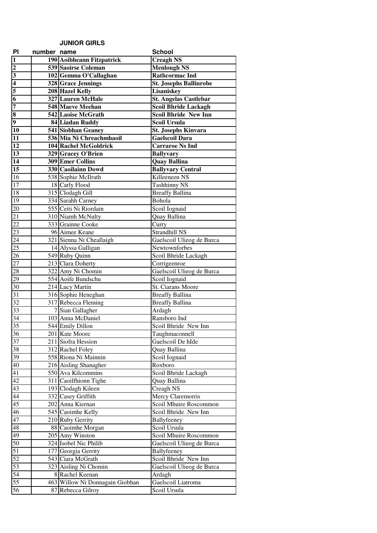## **JUNIOR GIRLS**

| PI                          | number name |                                     | <b>School</b>                              |
|-----------------------------|-------------|-------------------------------------|--------------------------------------------|
| $\mathbf{1}$                |             | 190 Aoibheann Fitzpatrick           | <b>Creagh NS</b>                           |
| $\overline{\mathbf{c}}$     |             | 539 Saoirse Coleman                 | <b>Menlough NS</b>                         |
|                             |             | 102 Gemma O'Callaghan               | <b>Rathcormac Ind</b>                      |
|                             |             | 328 Grace Jennings                  | <b>St. Josephs Ballinrobe</b>              |
| $\frac{3}{4}$ $\frac{4}{5}$ |             | 208 Hazel Kelly                     | Lisaniskey                                 |
|                             |             | 327 Lauren McHale                   | <b>St. Angelas Castlebar</b>               |
| $\frac{7}{8}$               |             | 548 Maeve Meehan                    | <b>Scoil Bhride Lackagh</b>                |
|                             |             | 542 Laoise McGrath                  | <b>Scoil Bhride New Inn</b>                |
|                             |             | 84 Liadan Ruddy                     | <b>Scoil Ursula</b>                        |
| $\overline{10}$             |             | 541 Siobhan Geaney                  | <b>St. Josephs Kinvara</b>                 |
| 11                          |             | 536 Mia Ni Chreachmhaoil            | <b>Gaelscoil Dara</b>                      |
| 12                          |             | 104 Rachel McGoldrick               | <b>Carraroe Ns Ind</b>                     |
| 13                          |             | 329 Gracey O'Brien                  | <b>Ballyvary</b>                           |
| 14                          |             | <b>309 Emer Collins</b>             | <b>Quay Ballina</b>                        |
| 15                          |             | 330 Caoilainn Dowd                  | <b>Ballyvary Central</b>                   |
| 16                          |             | 538 Sophie McIlrath                 | Killeeneen NS                              |
| 17                          |             | 18 Carly Flood                      | <b>Tashhinny NS</b>                        |
| 18                          |             | 315 Clodagh Gill                    | <b>Breaffy Ballina</b>                     |
| 19                          |             | 334 Sarahh Carney                   | Bohola                                     |
| 20                          |             | 555 Ceiti Ni Riordain               | Scoil Iognaid                              |
| 21                          |             | 310 Niamh McNulty                   | Quay Ballina                               |
| $\overline{22}$             |             | 333 Grainne Cooke                   | Curry                                      |
| 23                          |             | 96 Aimee Keane                      | Strandhill NS                              |
| 24                          |             | 321 Sienna Ni Cheallaigh            | Gaelscoil Ulieog de Burca<br>Newtownforbes |
| 25                          |             | 14 Alyssa Galligan                  |                                            |
| 26<br>$\overline{27}$       |             | 549 Ruby Quinn<br>213 Clara Doherty | Scoil Bhride Lackagh                       |
| 28                          |             | 322 Amy Ni Chomin                   | Corrigeenroe<br>Gaelscoil Ulieog de Burca  |
| 29                          |             | 554 Aoife Bundschu                  | Scoil Iognaid                              |
| $30\,$                      |             | 214 Lucy Martin                     | St. Ciarans Moore                          |
| 31                          |             | 316 Sophie Heneghan                 | <b>Breaffy Ballina</b>                     |
| 32                          |             | 317 Rebecca Fleming                 | <b>Breaffy Ballina</b>                     |
| 33                          |             | 7 Sian Gallagher                    | Ardagh                                     |
| $3\overline{4}$             |             | 103 Anna McDaniel                   | Ransboro Ind                               |
| 35                          |             | 544 Emily Dillon                    | Scoil Bhride New Inn                       |
| 36                          |             | 201 Kate Moore                      | Taughmaconnell                             |
| 37                          |             | 211 Siofra Hession                  | Gaelscoil De hIde                          |
| $38\,$                      |             | 312 Rachel Foley                    | Quay Ballina                               |
| 39                          |             | 558 Riona Ni Mainnin                | Scoil Iognaid                              |
| 40                          |             | 216 Aisling Shanagher               | Roxboro                                    |
| 41                          |             | 550 Ava Kilcommins                  | Scoil Bhride Lackagh                       |
| 42                          |             | 311 Caoilfhionn Tighe               | Quay Ballina                               |
| 43                          |             | 193 Clodagh Kileen                  | Creagh NS                                  |
| 44                          |             | 332 Casey Griffith                  | Mercy Claremorris                          |
| 45                          |             | 202 Anna Kiernan                    | Scoil Mhuire Roscommon                     |
| 46                          |             | 545 Caoimhe Kelly                   | Scoil Bhride New Inn                       |
| 47                          |             | 210 Ruby Gerrity                    | Ballyfeeney                                |
| 48                          |             | 88 Caoimhe Morgan                   | Scoil Ursula                               |
| 49                          |             | 205 Amy Winston                     | Scoil Mhuire Roscommon                     |
| 50                          |             | 324 Isobel Nic Philib               | Gaelscoil Ulieog de Burca                  |
| 51                          |             | 177 Georgia Gerrity                 | Ballyfeeney                                |
| 52                          |             | 543 Ciara McGrath                   | Scoil Bhride New Inn                       |
| 53                          |             | 323 Aisling Ni Chomin               | Gaelscoil Ulieog de Burca                  |
| 54                          |             | 8 Rachel Keenan                     | Ardagh                                     |
| 55                          |             | 463 Willow Ni Donnagain Giobhan     | Gaelscoil Liatroma                         |
| 56                          |             | 87 Rebecca Gilroy                   | Scoil Ursula                               |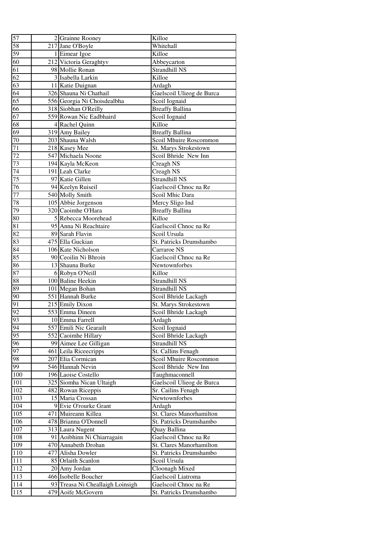| 57              | 2 Grainne Rooney                 | Killoe                    |
|-----------------|----------------------------------|---------------------------|
| 58              | 217 Jane O'Boyle                 | Whitehall                 |
| 59              | 1 Eimear Igoe                    | Killoe                    |
| 60              | 212 Victoria Geraghtyv           | Abbeycarton               |
| 61              | 98 Mollie Ronan                  | Strandhill NS             |
| 62              | 3 Isabella Larkin                | Killoe                    |
| 63              | 11 Katie Duignan                 | Ardagh                    |
| 64              | 326 Shauna Ni Chathail           | Gaelscoil Ulieog de Burca |
| 65              | 556 Georgia Ni Choisdealbha      | Scoil Iognaid             |
| 66              | 318 Siobhan O'Reilly             | <b>Breaffy Ballina</b>    |
| 67              | 559 Rowan Nic Eadbhaird          | Scoil Iognaid             |
| 68              | 4 Rachel Quinn                   | Killoe                    |
| 69              | 319 Amy Bailey                   | <b>Breaffy Ballina</b>    |
| 70              | 203 Shauna Walsh                 | Scoil Mhuire Roscommon    |
| 71              | 218 Kasey Mee                    | St. Marys Strokestown     |
| 72              | 547 Michaela Noone               | Scoil Bhride New Inn      |
| 73              | 194 Kayla McKeon                 | Creagh NS                 |
| 74              | 191 Leah Clarke                  | Creagh NS                 |
| 75              | 97 Katie Gillen                  | Strandhill NS             |
| 76              | 94 Keelyn Ruiseil                | Gaelscoil Chnoc na Re     |
| 77              | 540 Molly Smith                  | Scoil Mhic Dara           |
| $78\,$          | 105 Abbie Jorgenson              | Mercy Sligo Ind           |
| 79              | 320 Caoimhe O'Hara               | <b>Breaffy Ballina</b>    |
| 80              | 5 Rebecca Moorehead              | Killoe                    |
| 81              | 95 Anna Ni Reachtaire            | Gaelscoil Chnoc na Re     |
| 82              | 89 Sarah Flavin                  | Scoil Ursula              |
| 83              | 475 Ella Guckian                 | St. Patricks Drumshambo   |
| 84              | 106 Kate Nicholson               | Carraroe NS               |
| 85              | 90 Ceoilin Ni Bhroin             | Gaelscoil Chnoc na Re     |
| 86              | 13 Shauna Burke                  | Newtownforbes             |
| 87              | 6 Robyn O'Neill                  | Killoe                    |
| 88              | 100 Baline Heekin                | Strandhill NS             |
| 89              | 101 Megan Bohan                  | Strandhill NS             |
| 90              | 551 Hannah Burke                 | Scoil Bhride Lackagh      |
| 91              | 215 Emily Dixon                  | St. Marys Strokestown     |
| 92              | 553 Emma Dineen                  | Scoil Bhride Lackagh      |
| 93              | 10 Emma Farrell                  | Ardagh                    |
| 94              | 557 Emili Nic Gearailt           | Scoil Iognaid             |
| 95              | 552 Caoimhe Hillary              | Scoil Bhride Lackagh      |
| 96              | 99 Aimee Lee Gilligan            | Strandhill NS             |
| 97              | 461 Leila Riceecripps            | St. Callins Fenagh        |
| 98              | 207 Elia Cormican                | Scoil Mhuire Roscommon    |
| $\overline{99}$ | 546 Hannah Nevin                 | Scoil Bhride New Inn      |
| 100             | 196 Laoise Costello              | Taughmaconnell            |
| 101             | 325 Siomha Nican Ultaigh         | Gaelscoil Ulieog de Burca |
| 102             | 482 Rowan Riceppis               | Sr. Cailins Fenagh        |
| 103             | 15 Maria Crossan                 | Newtownforbes             |
| 104             | 9 Evie O'rourke Grant            | Ardagh                    |
| 105             | 471 Muireann Killea              | St. Clares Manorhamilton  |
| 106             | 478 Brianna O'Donnell            | St. Patricks Drumshambo   |
| 107             | 313 Laura Nugent                 | Quay Ballina              |
| 108             | 91 Aoibhinn Ni Chiarragain       | Gaelscoil Chnoc na Re     |
| 109             | 470 Annabeth Drohan              | St. Clares Manorhamilton  |
| 110             | 477 Alisha Dowler                | St. Patricks Drumshambo   |
| 111             | 85 Orlaith Scanlon               | Scoil Ursula              |
| 112             | 20 Amy Jordan                    | Cloonagh Mixed            |
| 113             | 466 Isobelle Boucher             | Gaelscoil Liatroma        |
| 114             | 93 Treasa Ni Cheallaigh Loinsigh | Gaelscoil Chnoc na Re     |
| 115             | 479 Aoife McGovern               | St. Patricks Drumshambo   |
|                 |                                  |                           |